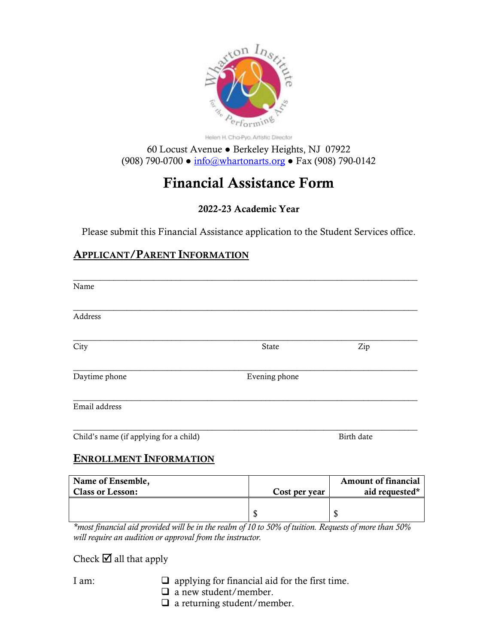

Helen H. Cha-Pyo. Artistic Director

60 Locust Avenue ● Berkeley Heights, NJ 07922 (908) 790-0700 ● [info@whartonarts.org](mailto:info@whartonarts.org) ● Fax (908) 790-0142

# Financial Assistance Form

# 2022-23 Academic Year

Please submit this Financial Assistance application to the Student Services office.

# APPLICANT/PARENT INFORMATION

| Name                                         |               |                                              |
|----------------------------------------------|---------------|----------------------------------------------|
| Address                                      |               |                                              |
| City                                         | State         | Zip                                          |
| Daytime phone                                | Evening phone |                                              |
| Email address                                |               |                                              |
| Child's name (if applying for a child)       |               | Birth date                                   |
| <b>ENROLLMENT INFORMATION</b>                |               |                                              |
| Name of Ensemble,<br><b>Class or Lesson:</b> | Cost per year | <b>Amount of financial</b><br>aid requested* |

 $\frac{1}{3}$ *\*most financial aid provided will be in the realm of 10 to 50% of tuition. Requests of more than 50% will require an audition or approval from the instructor.*

Check  $\blacksquare$  all that apply

- I am:  $\Box$  applying for financial aid for the first time.
	- □ a new student/member.
	- $\Box$  a returning student/member.